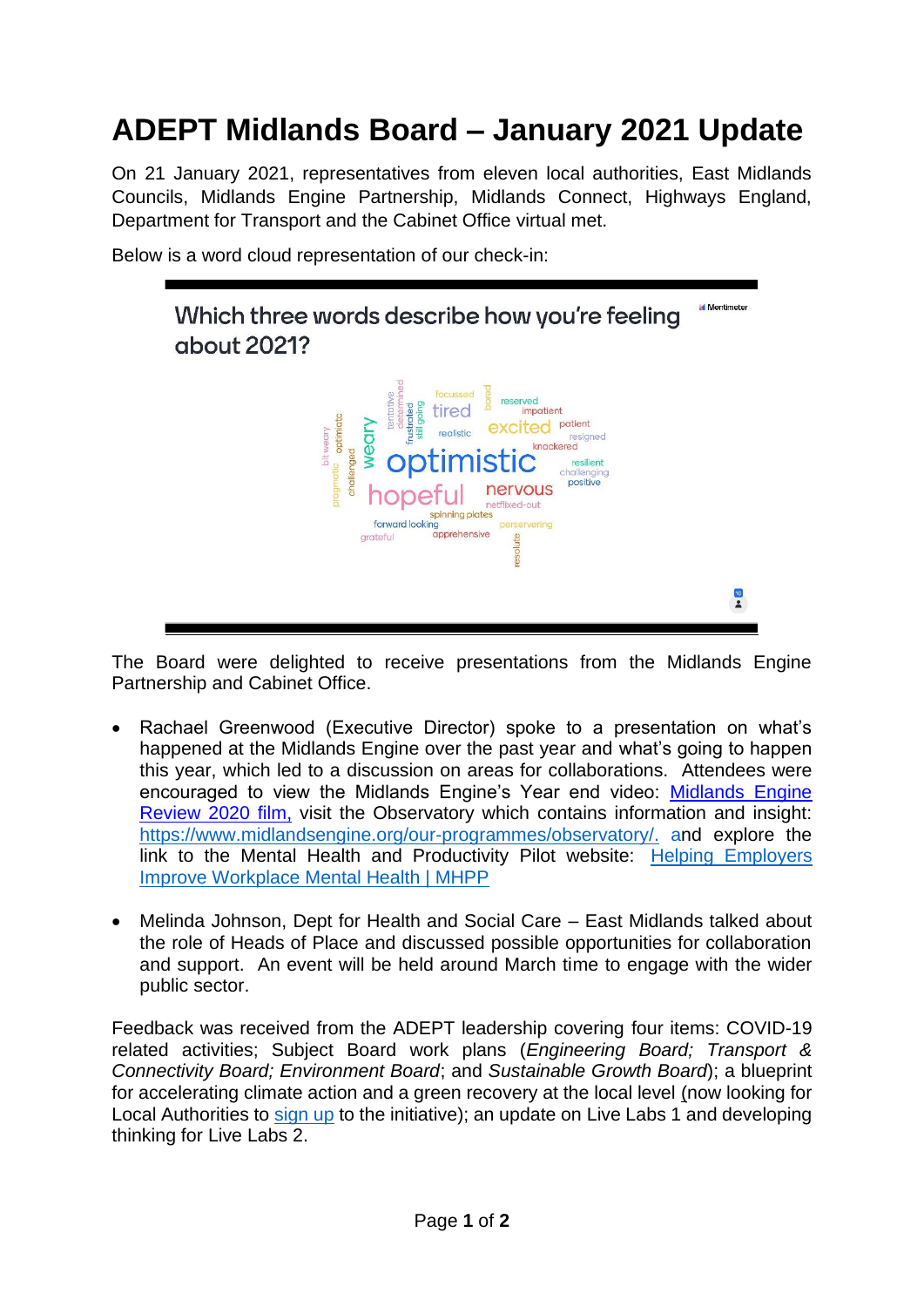## **ADEPT Midlands Board – January 2021 Update**

On 21 January 2021, representatives from eleven local authorities, East Midlands Councils, Midlands Engine Partnership, Midlands Connect, Highways England, Department for Transport and the Cabinet Office virtual met.

Below is a word cloud representation of our check-in:

**Id** Mentimeter Which three words describe how you're feeling about 2021? spinning plates spinning plates<br>forward looking<br>rateful **apprehensive** resolute arateful  $\frac{16}{2}$ 

The Board were delighted to receive presentations from the Midlands Engine Partnership and Cabinet Office.

- Rachael Greenwood (Executive Director) spoke to a presentation on what's happened at the Midlands Engine over the past year and what's going to happen this year, which led to a discussion on areas for collaborations. Attendees were encouraged to view the Midlands Engine's Year end video: [Midlands Engine](https://eur01.safelinks.protection.outlook.com/?url=https%3A%2F%2Furl6.mailanyone.net%2Fv1%2F%3Fm%3D1krLvS-0007RI-4B%26i%3D57e1b682%26c%3D_iWATGAjpWx99oDNeKgiqSy9Zfbfbk8i0tkpUw6NAET6g4ttmkuYkUilrdBlgY9SnDfHEikSrihlpWjhUMJ6IJvhXwn0ZC75TLlxw4kDPDTY0oyO9-uhuZPxPP_G37QM_nL8M3eh0d4e5fpp2SjGDsnKHsEKsXa8-bwyA4aD3HQcdZ-kRvjX2Bz-DKf7un9p886ARLBGklXyQixWiT1UeP6DPs3xCWheeDV7bhgQdxWnDinhfgRNvcOMk9bLHkKhKMgm3Gf4Aj7dHfb7HRG7gnGBixtmgjI5phhccSXVtV90g80gkNGOV1MOMTjIRB3e&data=04%7C01%7CNicola.McCoy-Brown%40nottscc.gov.uk%7C3357ccf7a33944b09a3808d8b64421aa%7C6e5a37bba9614e4fbaae2798a2245f30%7C0%7C0%7C637459751041080935%7CUnknown%7CTWFpbGZsb3d8eyJWIjoiMC4wLjAwMDAiLCJQIjoiV2luMzIiLCJBTiI6Ik1haWwiLCJXVCI6Mn0%3D%7C1000&sdata=vcRg8vXOJRLUV%2FlDoX%2FXPLAeSD1X3obs7wNl0tuq48w%3D&reserved=0)  [Review 2020 film,](https://eur01.safelinks.protection.outlook.com/?url=https%3A%2F%2Furl6.mailanyone.net%2Fv1%2F%3Fm%3D1krLvS-0007RI-4B%26i%3D57e1b682%26c%3D_iWATGAjpWx99oDNeKgiqSy9Zfbfbk8i0tkpUw6NAET6g4ttmkuYkUilrdBlgY9SnDfHEikSrihlpWjhUMJ6IJvhXwn0ZC75TLlxw4kDPDTY0oyO9-uhuZPxPP_G37QM_nL8M3eh0d4e5fpp2SjGDsnKHsEKsXa8-bwyA4aD3HQcdZ-kRvjX2Bz-DKf7un9p886ARLBGklXyQixWiT1UeP6DPs3xCWheeDV7bhgQdxWnDinhfgRNvcOMk9bLHkKhKMgm3Gf4Aj7dHfb7HRG7gnGBixtmgjI5phhccSXVtV90g80gkNGOV1MOMTjIRB3e&data=04%7C01%7CNicola.McCoy-Brown%40nottscc.gov.uk%7C3357ccf7a33944b09a3808d8b64421aa%7C6e5a37bba9614e4fbaae2798a2245f30%7C0%7C0%7C637459751041080935%7CUnknown%7CTWFpbGZsb3d8eyJWIjoiMC4wLjAwMDAiLCJQIjoiV2luMzIiLCJBTiI6Ik1haWwiLCJXVCI6Mn0%3D%7C1000&sdata=vcRg8vXOJRLUV%2FlDoX%2FXPLAeSD1X3obs7wNl0tuq48w%3D&reserved=0) visit the Observatory which contains information and insight: [https://www.midlandsengine.org/our-programmes/observatory/.](https://www.midlandsengine.org/our-programmes/observatory/) and explore the link to the Mental Health and Productivity Pilot website: [Helping Employers](https://eur01.safelinks.protection.outlook.com/?url=https%3A%2F%2Fmhpp.me%2F&data=04%7C01%7CNicola.McCoy-Brown%40nottscc.gov.uk%7C3bee7ba2fb024a82d81608d8be2ae9d4%7C6e5a37bba9614e4fbaae2798a2245f30%7C0%7C0%7C637468439239413064%7CUnknown%7CTWFpbGZsb3d8eyJWIjoiMC4wLjAwMDAiLCJQIjoiV2luMzIiLCJBTiI6Ik1haWwiLCJXVCI6Mn0%3D%7C1000&sdata=EcHLCFQqj0z3GseraZT4MsgnM9Grt%2F3eDLCwByurDWU%3D&reserved=0)  [Improve Workplace Mental Health | MHPP](https://eur01.safelinks.protection.outlook.com/?url=https%3A%2F%2Fmhpp.me%2F&data=04%7C01%7CNicola.McCoy-Brown%40nottscc.gov.uk%7C3bee7ba2fb024a82d81608d8be2ae9d4%7C6e5a37bba9614e4fbaae2798a2245f30%7C0%7C0%7C637468439239413064%7CUnknown%7CTWFpbGZsb3d8eyJWIjoiMC4wLjAwMDAiLCJQIjoiV2luMzIiLCJBTiI6Ik1haWwiLCJXVCI6Mn0%3D%7C1000&sdata=EcHLCFQqj0z3GseraZT4MsgnM9Grt%2F3eDLCwByurDWU%3D&reserved=0)
- Melinda Johnson, Dept for Health and Social Care East Midlands talked about the role of Heads of Place and discussed possible opportunities for collaboration and support. An event will be held around March time to engage with the wider public sector.

Feedback was received from the ADEPT leadership covering four items: COVID-19 related activities; Subject Board work plans (*Engineering Board; Transport & Connectivity Board; Environment Board*; and *Sustainable Growth Board*); a blueprint for accelerating climate action and a green recovery at the local level (now looking for Local Authorities to [sign up](https://eur01.safelinks.protection.outlook.com/?url=https%3A%2F%2Fadeptnet.org.uk%2Fnews-events%2Fclimate-change-hub%2Fshow-your-support-five-immediate-priorities-green-recovery&data=04%7C01%7CNicola.McCoy-Brown%40nottscc.gov.uk%7C37aa95253ec54b51d05908d8bded81e3%7C6e5a37bba9614e4fbaae2798a2245f30%7C0%7C0%7C637468175072073993%7CUnknown%7CTWFpbGZsb3d8eyJWIjoiMC4wLjAwMDAiLCJQIjoiV2luMzIiLCJBTiI6Ik1haWwiLCJXVCI6Mn0%3D%7C1000&sdata=tvIrJgzYN3U%2BcnTupBwrydmXawR9gHW7LuxfE0G2TZQ%3D&reserved=0) to the initiative); an update on Live Labs 1 and developing thinking for Live Labs 2.